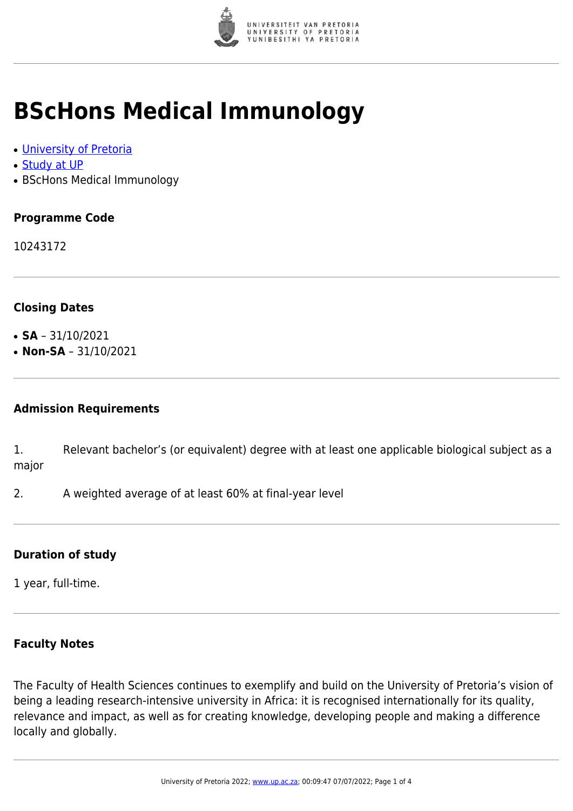

# **BScHons Medical Immunology**

- [University of Pretoria](https://www.up.ac.za/home)
- [Study at UP](https://www.up.ac.za/programmes)
- BScHons Medical Immunology

## **Programme Code**

10243172

### **Closing Dates**

- $\cdot$  **SA** 31/10/2021
- $\cdot$  **Non-SA** 31/10/2021

#### **Admission Requirements**

1. Relevant bachelor's (or equivalent) degree with at least one applicable biological subject as a major

2. A weighted average of at least 60% at final-year level

### **Duration of study**

1 year, full-time.

### **Faculty Notes**

The Faculty of Health Sciences continues to exemplify and build on the University of Pretoria's vision of being a leading research-intensive university in Africa: it is recognised internationally for its quality, relevance and impact, as well as for creating knowledge, developing people and making a difference locally and globally.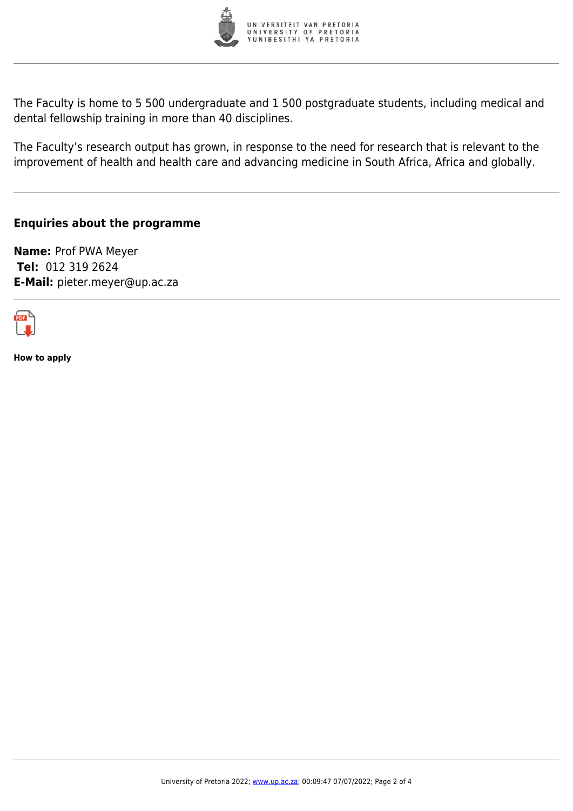

The Faculty is home to 5 500 undergraduate and 1 500 postgraduate students, including medical and dental fellowship training in more than 40 disciplines.

The Faculty's research output has grown, in response to the need for research that is relevant to the improvement of health and health care and advancing medicine in South Africa, Africa and globally.

#### **Enquiries about the programme**

**Name:** Prof PWA Meyer **Tel:** 012 319 2624 **E-Mail:** pieter.meyer@up.ac.za



**How to apply**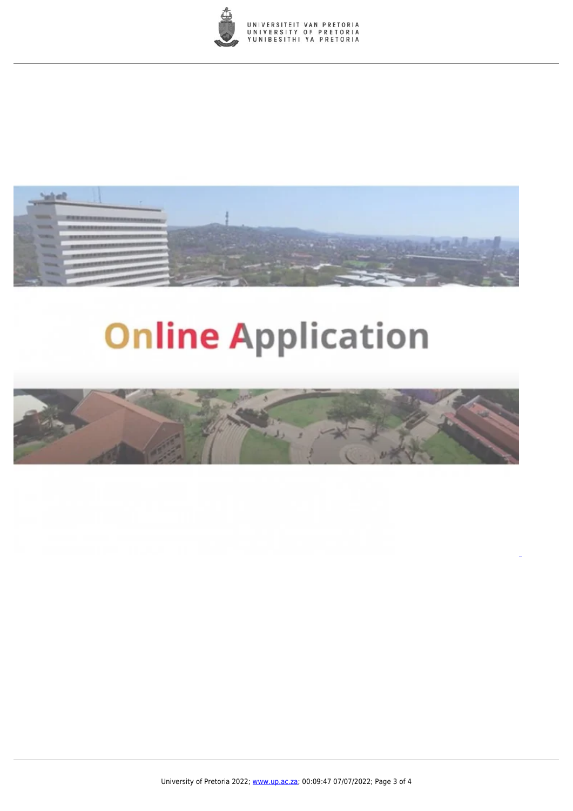



# **Online Application**